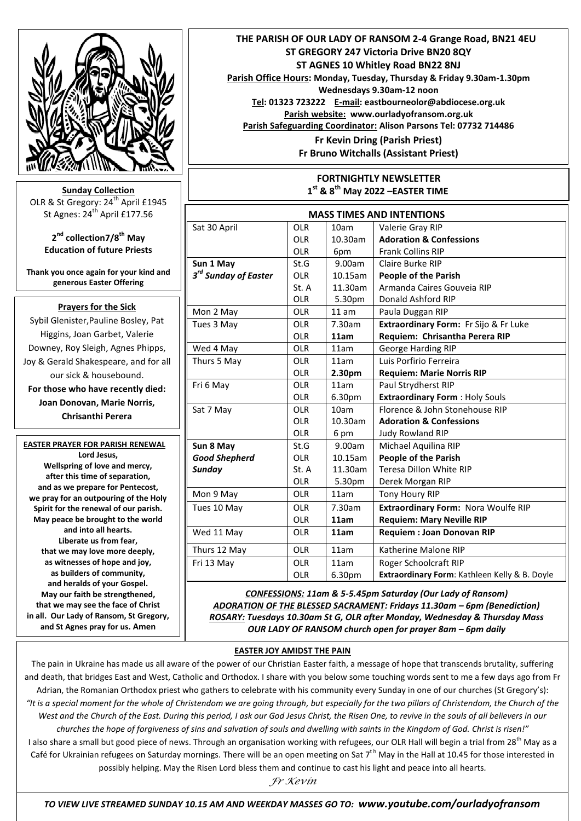

**Sunday Collection** OLR & St Gregory: 24<sup>th</sup> April £1945 St Agnes:  $24^{th}$  April £177.56

> **2 nd collection7/8th May Education of future Priests**

**Thank you once again for your kind and generous Easter Offering**

## **Prayers for the Sick**

Sybil Glenister,Pauline Bosley, Pat Higgins, Joan Garbet, Valerie Downey, Roy Sleigh, Agnes Phipps, Joy & Gerald Shakespeare, and for all our sick & housebound. **For those who have recently died: Joan Donovan, Marie Norris, Chrisanthi Perera**

### **EASTER PRAYER FOR PARISH RENEWAL Lord Jesus,**

**Wellspring of love and mercy, after this time of separation, and as we prepare for Pentecost, we pray for an outpouring of the Holy Spirit for the renewal of our parish. May peace be brought to the world and into all hearts. Liberate us from fear, that we may love more deeply, as witnesses of hope and joy, as builders of community, and heralds of your Gospel. May our faith be strengthened, that we may see the face of Christ in all. Our Lady of Ransom, St Gregory, and St Agnes pray for us. Amen**

 **THE PARISH OF OUR LADY OF RANSOM 2-4 Grange Road, BN21 4EU ST GREGORY 247 Victoria Drive BN20 8QY ST AGNES 10 Whitley Road BN22 8NJ Parish Office Hours: Monday, Tuesday, Thursday & Friday 9.30am-1.30pm Wednesdays 9.30am-12 noon Tel: 01323 723222 E-mail: eastbourneolor@abdiocese.org.uk Parish website: [www.ourladyofransom.org.uk](http://www.ourladyofransom.org.uk/) Parish Safeguarding Coordinator: Alison Parsons Tel: 07732 714486 Fr Kevin Dring (Parish Priest) Fr Bruno Witchalls (Assistant Priest)**

#### **FORTNIGHTLY NEWSLETTER 1 st & 8th May 2022 –EASTER TIME**

| <b>MASS TIMES AND INTENTIONS</b> |            |            |                                               |
|----------------------------------|------------|------------|-----------------------------------------------|
| Sat 30 April                     | <b>OLR</b> | 10am       | Valerie Gray RIP                              |
|                                  | <b>OLR</b> | 10.30am    | <b>Adoration &amp; Confessions</b>            |
|                                  | <b>OLR</b> | 6pm        | <b>Frank Collins RIP</b>                      |
| Sun 1 May                        | St.G       | 9.00am     | Claire Burke RIP                              |
| 3 <sup>rd</sup> Sunday of Easter | <b>OLR</b> | $10.15$ am | <b>People of the Parish</b>                   |
|                                  | St. A      | 11.30am    | Armanda Caires Gouveia RIP                    |
|                                  | <b>OLR</b> | 5.30pm     | Donald Ashford RIP                            |
| Mon 2 May                        | <b>OLR</b> | 11 am      | Paula Duggan RIP                              |
| Tues 3 May                       | <b>OLR</b> | 7.30am     | Extraordinary Form: Fr Sijo & Fr Luke         |
|                                  | <b>OLR</b> | 11am       | Requiem: Chrisantha Perera RIP                |
| Wed 4 May                        | <b>OLR</b> | 11am       | George Harding RIP                            |
| Thurs 5 May                      | <b>OLR</b> | 11am       | Luis Porfirio Ferreira                        |
|                                  | <b>OLR</b> | 2.30pm     | <b>Requiem: Marie Norris RIP</b>              |
| Fri 6 May                        | <b>OLR</b> | 11am       | Paul Strydherst RIP                           |
|                                  | <b>OLR</b> | 6.30pm     | <b>Extraordinary Form: Holy Souls</b>         |
| Sat 7 May                        | OIR        | 10am       | Florence & John Stonehouse RIP                |
|                                  | <b>OLR</b> | 10.30am    | <b>Adoration &amp; Confessions</b>            |
|                                  | <b>OLR</b> | 6 pm       | <b>Judy Rowland RIP</b>                       |
| Sun 8 May                        | St.G       | 9.00am     | Michael Aquilina RIP                          |
| <b>Good Shepherd</b>             | <b>OLR</b> | 10.15am    | <b>People of the Parish</b>                   |
| Sunday                           | St. A      | 11.30am    | Teresa Dillon White RIP                       |
|                                  | <b>OLR</b> | 5.30pm     | Derek Morgan RIP                              |
| Mon 9 May                        | <b>OLR</b> | 11am       | Tony Houry RIP                                |
| Tues 10 May                      | <b>OLR</b> | 7.30am     | Extraordinary Form: Nora Woulfe RIP           |
|                                  | <b>OLR</b> | 11am       | <b>Requiem: Mary Neville RIP</b>              |
| Wed 11 May                       | <b>OLR</b> | 11am       | <b>Requiem : Joan Donovan RIP</b>             |
| Thurs 12 May                     | <b>OLR</b> | 11am       | Katherine Malone RIP                          |
| Fri 13 May                       | <b>OLR</b> | 11am       | Roger Schoolcraft RIP                         |
|                                  | <b>OLR</b> | 6.30pm     | Extraordinary Form: Kathleen Kelly & B. Doyle |

*CONFESSIONS: 11am & 5-5.45pm Saturday (Our Lady of Ransom) ADORATION OF THE BLESSED SACRAMENT: Fridays 11.30am – 6pm (Benediction) ROSARY: Tuesdays 10.30am St G, OLR after Monday, Wednesday & Thursday Mass* **OUR LADY OF RANSOM church open for prayer 8am – 6pm daily** 

## **EASTER JOY AMIDST THE PAIN**

The pain in Ukraine has made us all aware of the power of our Christian Easter faith, a message of hope that transcends brutality, suffering and death, that bridges East and West, Catholic and Orthodox. I share with you below some touching words sent to me a few days ago from Fr Adrian, the Romanian Orthodox priest who gathers to celebrate with his community every Sunday in one of our churches (St Gregory's): *"It is a special moment for the whole of Christendom we are going through, but especially for the two pillars of Christendom, the Church of the West and the Church of the East. During this period, I ask our God Jesus Christ, the Risen One, to revive in the souls of all believers in our churches the hope of forgiveness of sins and salvation of souls and dwelling with saints in the Kingdom of God. Christ is risen!"*  I also share a small but good piece of news. Through an organisation working with refugees, our OLR Hall will begin a trial from 28<sup>th</sup> May as a Café for Ukrainian refugees on Saturday mornings. There will be an open meeting on Sat  $7<sup>th</sup>$  May in the Hall at 10.45 for those interested in possibly helping. May the Risen Lord bless them and continue to cast his light and peace into all hearts*.* 

*Fr Kevin*

God bless *TO VIEW LIVE STREAMED SUNDAY 10.15 AM AND WEEKDAY MASSES GO TO: www.youtube.com/ourladyofransom*